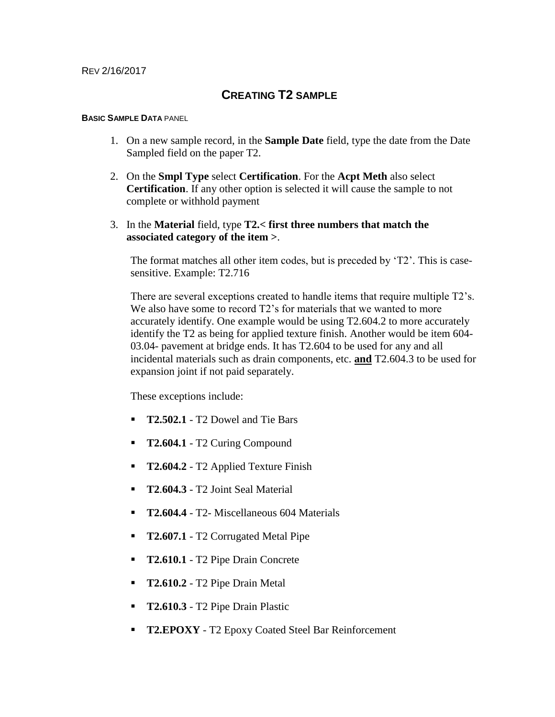### **CREATING T2 SAMPLE**

#### **BASIC SAMPLE DATA** PANEL

- 1. On a new sample record, in the **Sample Date** field, type the date from the Date Sampled field on the paper T2.
- 2. On the **Smpl Type** select **Certification**. For the **Acpt Meth** also select **Certification**. If any other option is selected it will cause the sample to not complete or withhold payment
- 3. In the **Material** field, type **T2.< first three numbers that match the associated category of the item >**.

The format matches all other item codes, but is preceded by 'T2'. This is casesensitive. Example: T2.716

There are several exceptions created to handle items that require multiple T2's. We also have some to record  $T2$ 's for materials that we wanted to more accurately identify. One example would be using T2.604.2 to more accurately identify the T2 as being for applied texture finish. Another would be item 604- 03.04- pavement at bridge ends. It has T2.604 to be used for any and all incidental materials such as drain components, etc. **and** T2.604.3 to be used for expansion joint if not paid separately.

These exceptions include:

- **T2.502.1** T2 Dowel and Tie Bars
- **T2.604.1** T2 Curing Compound
- **T2.604.2** T2 Applied Texture Finish
- **T2**.**604.3** T2 Joint Seal Material
- **T2.604.4** T2- Miscellaneous 604 Materials
- **T2.607.1** T2 Corrugated Metal Pipe
- **T2.610.1** T2 Pipe Drain Concrete
- **T2.610.2** T2 Pipe Drain Metal
- **T2.610.3** T2 Pipe Drain Plastic
- **T2.EPOXY** T2 Epoxy Coated Steel Bar Reinforcement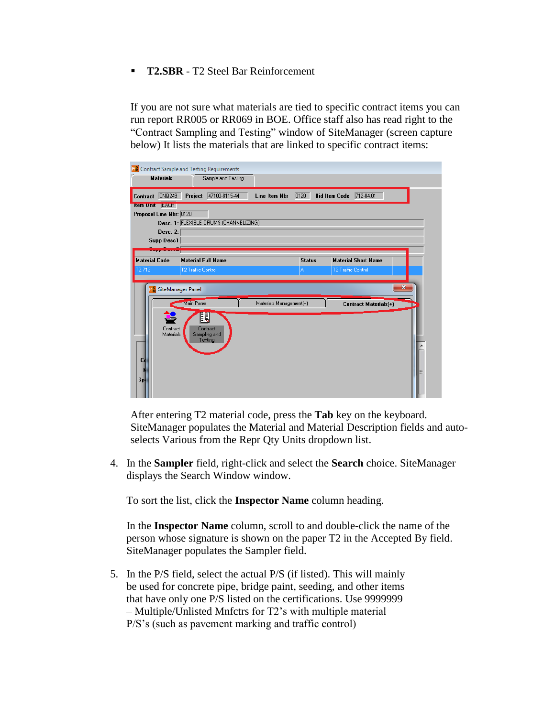**T2.SBR** - T2 Steel Bar Reinforcement

If you are not sure what materials are tied to specific contract items you can run report RR005 or RR069 in BOE. Office staff also has read right to the "Contract Sampling and Testing" window of SiteManager (screen capture below) It lists the materials that are linked to specific contract items:

|                                                                                                     | <b>R</b> <sup>8</sup> Contract Sample and Testing Requirements |               |                    |                                                         |   |
|-----------------------------------------------------------------------------------------------------|----------------------------------------------------------------|---------------|--------------------|---------------------------------------------------------|---|
| <b>Materials</b>                                                                                    | Sample and Testing                                             |               |                    |                                                         |   |
| <b>CNQ249</b><br>Contract                                                                           | 47100-8115-44<br>Project                                       | Line Item Nbr | 0120               | <b>Bid Item Code</b><br>712-04.01                       |   |
| Item Unit <b>EALH</b><br>Proposal Line Nbr: 0120<br>Desc. 2:<br><b>Supp Desc1</b>                   | Desc. 1: FLEXIBLE DRUMS (CHANNELIZING)                         |               |                    |                                                         |   |
| <b>Material Code</b><br>2.712                                                                       | <b>Material Full Name</b><br><b>T2 Traffic Control</b>         |               | <b>Status</b><br>A | <b>Material Short Name</b><br><b>T2 Traffic Control</b> |   |
| $\mathbf{x}$<br>SiteManager Panel<br>Main Panel<br>Materials Management(+)<br>Contract Materials(+) |                                                                |               |                    |                                                         |   |
| Contract<br>Materials<br>Cd                                                                         | 瞋<br>Contract<br>Sampling and<br>Testing                       |               |                    |                                                         |   |
| Sp                                                                                                  |                                                                |               |                    |                                                         | Ξ |

After entering T2 material code, press the **Tab** key on the keyboard. SiteManager populates the Material and Material Description fields and autoselects Various from the Repr Qty Units dropdown list.

4. In the **Sampler** field, right-click and select the **Search** choice. SiteManager displays the Search Window window.

To sort the list, click the **Inspector Name** column heading.

In the **Inspector Name** column, scroll to and double-click the name of the person whose signature is shown on the paper T2 in the Accepted By field. SiteManager populates the Sampler field.

5. In the P/S field, select the actual P/S (if listed). This will mainly be used for concrete pipe, bridge paint, seeding, and other items that have only one P/S listed on the certifications. Use 9999999 – Multiple/Unlisted Mnfctrs for T2's with multiple material P/S's (such as pavement marking and traffic control)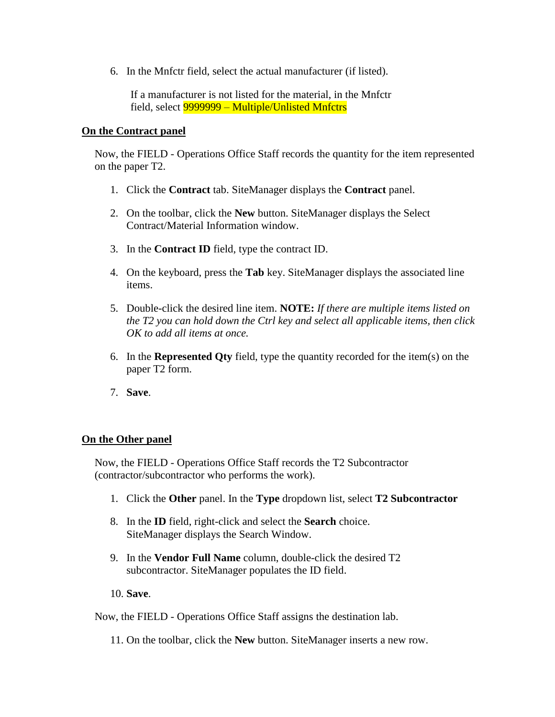6. In the Mnfctr field, select the actual manufacturer (if listed).

If a manufacturer is not listed for the material, in the Mnfctr field, select 9999999 – Multiple/Unlisted Mnfctrs

#### **On the Contract panel**

Now, the FIELD - Operations Office Staff records the quantity for the item represented on the paper T2.

- 1. Click the **Contract** tab. SiteManager displays the **Contract** panel.
- 2. On the toolbar, click the **New** button. SiteManager displays the Select Contract/Material Information window.
- 3. In the **Contract ID** field, type the contract ID.
- 4. On the keyboard, press the **Tab** key. SiteManager displays the associated line items.
- 5. Double-click the desired line item. **NOTE:** *If there are multiple items listed on the T2 you can hold down the Ctrl key and select all applicable items, then click OK to add all items at once.*
- 6. In the **Represented Qty** field, type the quantity recorded for the item(s) on the paper T2 form.
- 7. **Save**.

#### **On the Other panel**

Now, the FIELD - Operations Office Staff records the T2 Subcontractor (contractor/subcontractor who performs the work).

- 1. Click the **Other** panel. In the **Type** dropdown list, select **T2 Subcontractor**
- 8. In the **ID** field, right-click and select the **Search** choice. SiteManager displays the Search Window.
- 9. In the **Vendor Full Name** column, double-click the desired T2 subcontractor. SiteManager populates the ID field.
- 10. **Save**.

Now, the FIELD - Operations Office Staff assigns the destination lab.

11. On the toolbar, click the **New** button. SiteManager inserts a new row.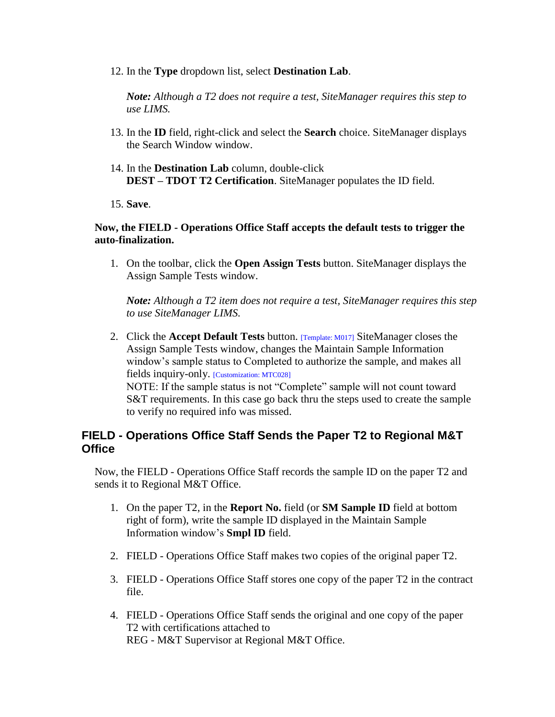12. In the **Type** dropdown list, select **Destination Lab**.

*Note: Although a T2 does not require a test, SiteManager requires this step to use LIMS.*

- 13. In the **ID** field, right-click and select the **Search** choice. SiteManager displays the Search Window window.
- 14. In the **Destination Lab** column, double-click **DEST – TDOT T2 Certification**. SiteManager populates the ID field.

15. **Save**.

#### **Now, the FIELD - Operations Office Staff accepts the default tests to trigger the auto-finalization.**

1. On the toolbar, click the **Open Assign Tests** button. SiteManager displays the Assign Sample Tests window.

*Note: Although a T2 item does not require a test, SiteManager requires this step to use SiteManager LIMS.*

2. Click the **Accept Default Tests** button. [Template: M017] SiteManager closes the Assign Sample Tests window, changes the Maintain Sample Information window's sample status to Completed to authorize the sample, and makes all fields inquiry-only. [Customization: MTC028] NOTE: If the sample status is not "Complete" sample will not count toward

S&T requirements. In this case go back thru the steps used to create the sample to verify no required info was missed.

## **FIELD - Operations Office Staff Sends the Paper T2 to Regional M&T Office**

Now, the FIELD - Operations Office Staff records the sample ID on the paper T2 and sends it to Regional M&T Office.

- 1. On the paper T2, in the **Report No.** field (or **SM Sample ID** field at bottom right of form), write the sample ID displayed in the Maintain Sample Information window's **Smpl ID** field.
- 2. FIELD Operations Office Staff makes two copies of the original paper T2.
- 3. FIELD Operations Office Staff stores one copy of the paper T2 in the contract file.
- 4. FIELD Operations Office Staff sends the original and one copy of the paper T2 with certifications attached to REG - M&T Supervisor at Regional M&T Office.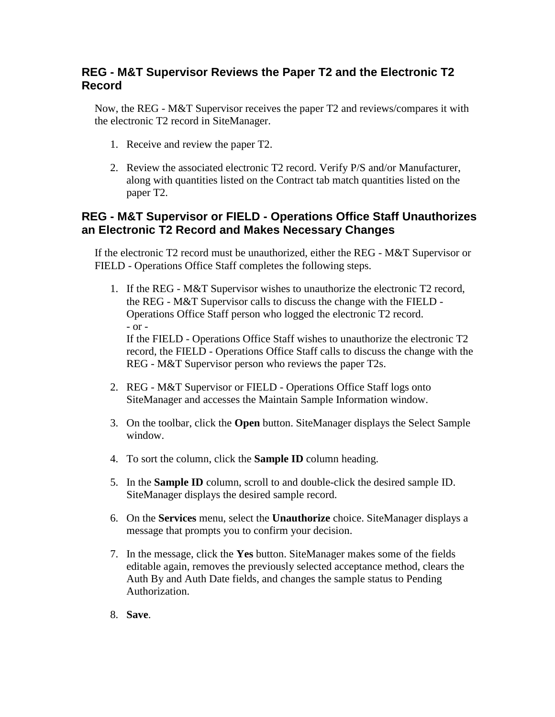## **REG - M&T Supervisor Reviews the Paper T2 and the Electronic T2 Record**

Now, the REG - M&T Supervisor receives the paper T2 and reviews/compares it with the electronic T2 record in SiteManager.

- 1. Receive and review the paper T2.
- 2. Review the associated electronic T2 record. Verify P/S and/or Manufacturer, along with quantities listed on the Contract tab match quantities listed on the paper T2.

# **REG - M&T Supervisor or FIELD - Operations Office Staff Unauthorizes an Electronic T2 Record and Makes Necessary Changes**

If the electronic T2 record must be unauthorized, either the REG - M&T Supervisor or FIELD - Operations Office Staff completes the following steps.

- 1. If the REG M&T Supervisor wishes to unauthorize the electronic T2 record, the REG - M&T Supervisor calls to discuss the change with the FIELD - Operations Office Staff person who logged the electronic T2 record. - or - If the FIELD - Operations Office Staff wishes to unauthorize the electronic T2 record, the FIELD - Operations Office Staff calls to discuss the change with the REG - M&T Supervisor person who reviews the paper T2s.
- 2. REG M&T Supervisor or FIELD Operations Office Staff logs onto SiteManager and accesses the Maintain Sample Information window.
- 3. On the toolbar, click the **Open** button. SiteManager displays the Select Sample window.
- 4. To sort the column, click the **Sample ID** column heading.
- 5. In the **Sample ID** column, scroll to and double-click the desired sample ID. SiteManager displays the desired sample record.
- 6. On the **Services** menu, select the **Unauthorize** choice. SiteManager displays a message that prompts you to confirm your decision.
- 7. In the message, click the **Yes** button. SiteManager makes some of the fields editable again, removes the previously selected acceptance method, clears the Auth By and Auth Date fields, and changes the sample status to Pending Authorization.
- 8. **Save**.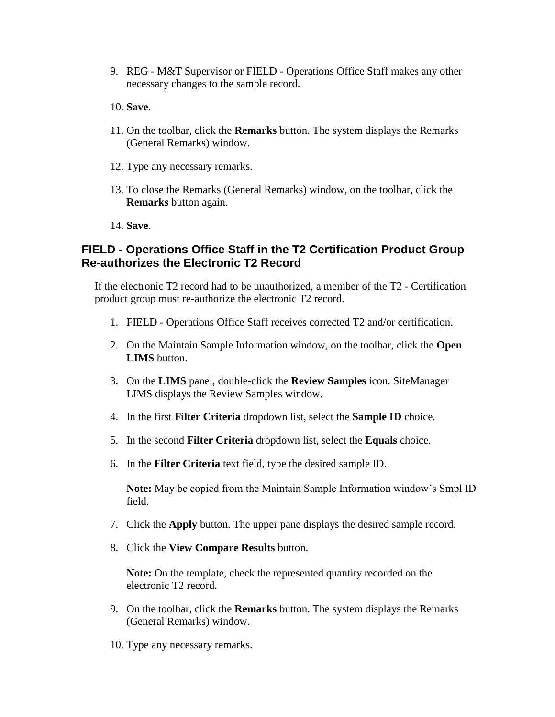- 9. REG M&T Supervisor or FIELD Operations Office Staff makes any other necessary changes to the sample record.
- 10. **Save**.
- 11. On the toolbar, click the **Remarks** button. The system displays the Remarks (General Remarks) window.
- 12. Type any necessary remarks.
- 13. To close the Remarks (General Remarks) window, on the toolbar, click the **Remarks** button again.
- 14. **Save**.

# **FIELD - Operations Office Staff in the T2 Certification Product Group Re-authorizes the Electronic T2 Record**

If the electronic T2 record had to be unauthorized, a member of the T2 - Certification product group must re-authorize the electronic T2 record.

- 1. FIELD Operations Office Staff receives corrected T2 and/or certification.
- 2. On the Maintain Sample Information window, on the toolbar, click the **Open LIMS** button.
- 3. On the **LIMS** panel, double-click the **Review Samples** icon. SiteManager LIMS displays the Review Samples window.
- 4. In the first **Filter Criteria** dropdown list, select the **Sample ID** choice.
- 5. In the second **Filter Criteria** dropdown list, select the **Equals** choice.
- 6. In the **Filter Criteria** text field, type the desired sample ID.

**Note:** May be copied from the Maintain Sample Information window's Smpl ID field.

- 7. Click the **Apply** button. The upper pane displays the desired sample record.
- 8. Click the **View Compare Results** button.

**Note:** On the template, check the represented quantity recorded on the electronic T2 record.

- 9. On the toolbar, click the **Remarks** button. The system displays the Remarks (General Remarks) window.
- 10. Type any necessary remarks.